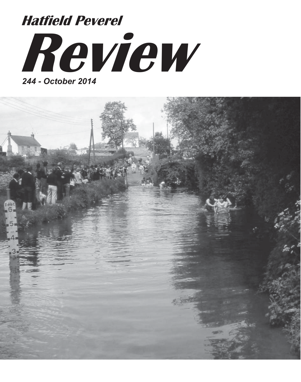# **Review Hatfield Peverel**

*244 - October 2014*

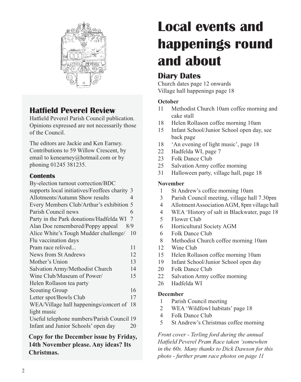

# **Hatfield Peverel Review**

Hatfield Peverel Parish Council publication. Opinions expressed are not necessarily those of the Council.

The editors are Jackie and Ken Earney. Contributions to 59 Willow Crescent, by email to kenearney@hotmail.com or by phoning 01245 381235.

#### **Contents**

| By-election turnout correction/BDC            |     |
|-----------------------------------------------|-----|
| supports local initiatives/Feoffees charity 3 |     |
| Allotments/Autumn Show results                | 4   |
| Every Members Club/Arthur's exhibition        | 5   |
| Parish Council news                           | 6   |
| Party in the Park donations/Hadfelda WI       | 7   |
| Alan Doe remembered/Poppy appeal              | 8/9 |
| Alice White's Tough Mudder challenge/         | 10  |
| Flu vaccination days                          |     |
| Pram race relived                             | 11  |
| News from St Andrews                          | 12  |
| Mother's Union                                | 13  |
| Salvation Army/Methodist Church               | 14  |
| Wine Club/Museum of Power/                    | 15  |
| Helen Rollason tea party                      |     |
| <b>Scouting Group</b>                         | 16  |
| Letter spot/Bowls Club                        | 17  |
| WEA/Village hall happenings/concert of        | 18  |
| light music                                   |     |
| Useful telephone numbers/Parish Council 19    |     |
| Infant and Junior Schools' open day           | 20  |
|                                               |     |

**Copy for the December issue by Friday, 14th November please. Any ideas? Its Christmas.**

# **Local events and happenings round and about**

# **Diary Dates**

Church dates page 12 onwards Village hall happenings page 18

#### **October**

- 11 Methodist Church 10am coffee morning and cake stall
- 18 Helen Rollason coffee morning 10am
- 15 Infant School/Junior School open day, see back page
- 18 'An evening of light music', page 18
- 22 Hadfelda WI, page 7
- 23 Folk Dance Club
- 25 Salvation Army coffee morning
- 31 Halloween party, village hall, page 18

#### **November**

- 1 St Andrew's coffee morning 10am
- 3 Parish Council meeting, village hall 7.30pm
- 4 Allotment Association AGM, 8pm village hall
- 4 WEA 'History of salt in Blackwater, page 18
- 5 Flower Club
- 6 Horticultural Society AGM
- 6 Folk Dance Club
- 8 Methodist Church coffee morning 10am
- 12 Wine Club
- 15 Helen Rollason coffee morning 10am
- 19 Infant School/Junior School open day
- 20 Folk Dance Club
- 22 Salvation Army coffee morning
- 26 Hadfelda WI

#### **December**

- 1 Parish Council meeting
- 2 WEA 'Wildfowl habitats' page 18
- 4 Folk Dance Club
- 5 St Andrew's Christmas coffee morning

*Front cover - Terling ford during the annual Hatfield Peverel Pram Race taken 'somewhen in the 60s. Many thanks to Dick Dawson for this photo - further pram race photos on page 11*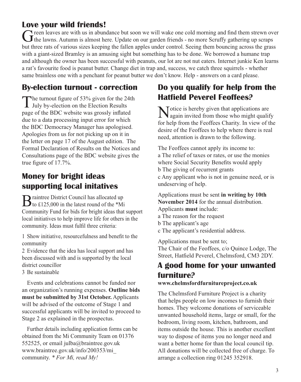# **Love your wild friends!**

Green leaves are with us in abundance but soon we will wake one cold morning and find them strewn over the lawns. Autumn is almost here. Update on our garden friends - no more Scruffy gathering up scraps but three rats of various sizes keeping the fallen apples under control. Seeing them bouncing across the grass with a giant-sized Bramley is an amusing sight but something has to be done. We borrowed a humane trap and although the owner has been successful with peanuts, our lot are not nut eaters. Internet junkie Ken learns a rat's favourite food is peanut butter. Change diet in trap and, success, we catch three squirrels - whether same brainless one with a penchant for peanut butter we don't know. Help - answers on a card please.

# **By-election turnout - correction**

The turnout figure of 53% given for the 24th  $\perp$  July by-election on the Election Results page of the BDC website was grossly inflated due to a data processing input error for which the BDC Democracy Manager has apologised. Apologies from us for not picking up on it in the letter on page 17 of the August edition. The Formal Declaration of Results on the Notices and Consultations page of the BDC website gives the true figure of 17.7%.

# **Money for bright ideas supporting local initatives**

Braintree District Council has allocated up<br>to £125,000 in the latest round of the \*Mi Community Fund for bids for bright ideas that support local initiatives to help improve life for others in the community. Ideas must fulfil three criteria:

1 Show initiative, resourcefulness and benefit to the community

2 Evidence that the idea has local support and has been discussed with and is supported by the local district councillor

3 Be sustainable

Events and celebrations cannot be funded nor an organization's running expenses. **Outline bids must be submitted by 31st October.** Applicants will be advised of the outcome of Stage 1 and successful applicants will be invited to proceed to Stage 2 as explained in the prospectus.

Further details including application forms can be obtained from the Mi Community Team on 01376 552525, or email julba@braintree.gov.uk www.braintree.gov.uk/info/200353/mi\_ community. *\* For Mi, read My!*

# **Do you qualify for help from the Hatfield Peverel Feoffees?**

Motice is hereby given that applications are again invited from those who might qualify for help from the Feoffees Charity. In view of the desire of the Feoffees to help where there is real need, attention is drawn to the following.

The Feoffees cannot apply its income to: a The relief of taxes or rates, or use the monies where Social Security Benefits would apply b The giving of recurrent grants c Any applicant who is not in genuine need, or is undeserving of help.

Applications must be sent **in writing by 10th November 2014** for the annual distribution. Applicants **must** include: a The reason for the request b The applicant's age c The applicant's residential address.

Applications must be sent to; The Chair of the Feoffees, c/o Quince Lodge, The Street, Hatfield Peverel, Chelmsford, CM3 2DY.

### **A good home for your unwanted furniture? www.chelmsfordfurnitureproject.co.uk**

#### The Chelmsford Furniture Project is a charity that helps people on low incomes to furnish their homes. They welcome donations of serviceable unwanted household items, large or small, for the bedroom, living room, kitchen, bathroom, and items outside the house. This is another excellent way to dispose of items you no longer need and want a better home for than the local council tip. All donations will be collected free of charge. To arrange a collection ring 01245 352918.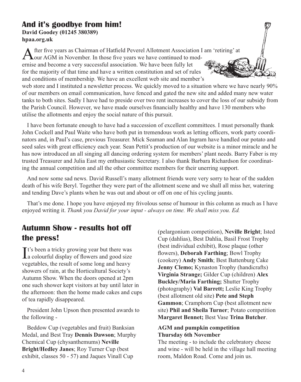#### **And it's goodbye from him! David Goodey (01245 380389) hpaa.org.uk**

After five years as Chairman of Hatfield Peverel Allotment Association I am 'retiring' at our AGM in November. In those five years we have continued to mod-

ernise and become a very successful association. We have been fully let for the majority of that time and have a written constitution and set of rules and conditions of membership. We have an excellent web site and member's

web store and I instituted a newsletter process. We quickly moved to a situation where we have nearly 90% of our members on email communication, have fenced and gated the new site and added many new water tanks to both sites. Sadly I have had to preside over two rent increases to cover the loss of our subsidy from the Parish Council. However, we have made ourselves financially healthy and have 130 members who utilise the allotments and enjoy the social nature of this pursuit.

I have been fortunate enough to have had a succession of excellent committees. I must personally thank John Cockell and Paul Waite who have both put in tremendous work as letting officers, work party coordinators and, in Paul's case, previous Treasurer. Mick Seaman and Alan Ingram have handled our potato and seed sales with great efficiency each year. Sean Pettit's production of our website is a minor miracle and he has now introduced an all singing all dancing ordering system for members' plant needs. Barry Faber is my trusted Treasurer and Julia East my enthusiastic Secretary. I also thank Barbara Richardson for coordinating the annual competition and all the other committee members for their unerring support.

And now some sad news. David Russell's many allotment friends were very sorry to hear of the sudden death of his wife Beryl. Together they were part of the allotment scene and we shall all miss her, watering and tending Dave's plants when he was out and about or off on one of his cycling jaunts.

That's me done. I hope you have enjoyed my frivolous sense of humour in this column as much as I have enjoyed writing it. *Thank you David for your input - always on time. We shall miss you. Ed.*

# **Autumn Show - results hot off the press!**

It's been a tricky growing year but there was<br>
a colourful display of flowers and good size  $\mathbf{T}$ t's been a tricky growing year but there was vegetables, the result of some long and heavy showers of rain, at the Horticultural Society's Autumn Show. When the doors opened at 2pm one such shower kept visitors at bay until later in the afternoon: then the home made cakes and cups of tea rapidly disappeared.

President John Upson then presented awards to the following -

Beddow Cup (vegetables and fruit) Banksian Medal, and Best Tray **Dennis Dawson**; Murphy Chemical Cup (chysanthemums) **Neville Bright/Hedley Janes**; Roy Turner Cup (best exhibit, classes 50 - 57) and Jaques Vinall Cup

(pelargonium competition), **Neville Bright**; Isted Cup (dahlias), Best Dahlia, Basil Frost Trophy (best individual exhibit), Rose plaque (other flowers), **Deborah Farthing**; Bowl Trophy (cookery) **Andy Smith**; Best Battenburg Cake **Jenny Clemo;** Kynaston Trophy (handicrafts) **Virginia Strange;** Gilder Cup (children) **Alex Buckley/Maria Farthing;** Shutter Trophy (photography) **Val Barrett;** Leslie King Trophy (best allotment old site) **Pete and Steph Gammon**; Cramphorn Cup (best allotment new site) **Phil and Sheila Turner**; Potato competition **Margaret Bennet;** Best Vase **Trina Butcher**.

#### **AGM and pumpkin competition Thursday 6th November**

The meeting - to include the celebratory cheese and wine - will be held in the village hall meeting room, Maldon Road. Come and join us.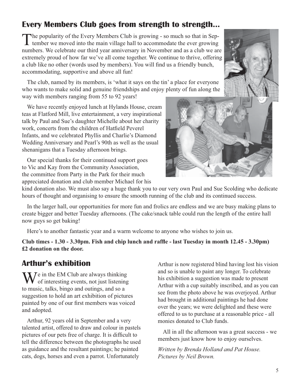# **Every Members Club goes from strength to strength...**

The popularity of the Every Members Club is growing - so much so that in September we moved into the main village hall to accommodate the ever growing numbers. We celebrate our third year anniversary in November and as a club we are extremely proud of how far we've all come together. We continue to thrive, offering a club like no other (words used by members). You will find us a friendly bunch, accommodating, supportive and above all fun!

The club, named by its members, is 'what it says on the tin' a place for everyone who wants to make solid and genuine friendships and enjoy plenty of fun along the way with members ranging from 55 to 92 years!

We have recently enjoyed lunch at Hylands House, cream teas at Flatford Mill, live entertainment, a very inspirational talk by Paul and Sue's daughter Michelle about her charity work, concerts from the children of Hatfield Peverel Infants, and we celebrated Phyllis and Charlie's Diamond Wedding Anniversary and Pearl's 90th as well as the usual shenanigans that a Tuesday afternoon brings.

Our special thanks for their continued support goes to Vic and Kay from the Community Association, the committee from Party in the Park for their much appreciated donation and club member Michael for his

kind donation also. We must also say a huge thank you to our very own Paul and Sue Scolding who dedicate hours of thought and organising to ensure the smooth running of the club and its continued success.

In the larger hall, our opportunities for more fun and frolics are endless and we are busy making plans to create bigger and better Tuesday afternoons. (The cake/snack table could run the length of the entire hall now guys so get baking!

Here's to another fantastic year and a warm welcome to anyone who wishes to join us.

**Club times - 1.30 - 3.30pm. Fish and chip lunch and raffle - last Tuesday in month 12.45 - 3.30pm) £2 donation on the door.**

### **Arthur's exhibition**

 $\sum_{n=1}^{\infty}$  Te in the EM Club are always thinking  $\blacktriangledown$  of interesting events, not just listening to music, talks, bingo and outings, and so a suggestion to hold an art exhibition of pictures painted by one of our first members was voiced and adopted.

Arthur, 92 years old in September and a very talented artist, offered to draw and colour in pastels pictures of our pets free of charge. It is difficult to tell the difference between the photographs he used as guidance and the resultant paintings; he painted cats, dogs, horses and even a parrot. Unfortunately

Arthur is now registered blind having lost his vision and so is unable to paint any longer. To celebrate his exhibition a suggestion was made to present Arthur with a cup suitably inscribed, and as you can see from the photo above he was overjoyed. Arthur had brought in additional paintings he had done over the years; we were delighted and these were offered to us to purchase at a reasonable price - all monies donated to Club funds.

All in all the afternoon was a great success - we members just know how to enjoy ourselves.

*Written by Brenda Holland and Pat House. Pictures by Neil Brown.*

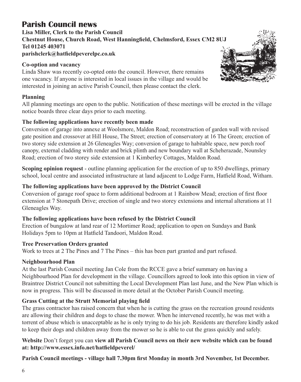# **Parish Council news**

**Lisa Miller, Clerk to the Parish Council Chestnut House, Church Road, West Hanningfield, Chelmsford, Essex CM2 8UJ Tel 01245 403071 parishclerk@hatfieldpeverelpc.co.uk**

#### **Co-option and vacancy**

Linda Shaw was recently co-opted onto the council. However, there remains one vacancy. If anyone is interested in local issues in the village and would be interested in joining an active Parish Council, then please contact the clerk.

#### **Planning**

All planning meetings are open to the public. Notification of these meetings will be erected in the village notice boards three clear days prior to each meeting.

#### **The following applications have recently been made**

Conversion of garage into annexe at Woolsmore, Maldon Road; reconstruction of garden wall with revised gate position and crossover at Hill House, The Street; erection of conservatory at 16 The Green; erection of two storey side extension at 26 Gleneagles Way; conversion of garage to habitable space, new porch roof canopy, external cladding with render and brick plinth and new boundary wall at Scheherazade, Nounsley Road; erection of two storey side extension at 1 Kimberley Cottages, Maldon Road.

**Scoping opinion request** - outline planning application for the erection of up to 850 dwellings, primary school, local centre and associated infrastructure at land adjacent to Lodge Farm, Hatfield Road, Witham.

#### **The following applications have been approved by the District Council**

Conversion of garage roof space to form additional bedroom at 1 Rainbow Mead; erection of first floor extension at 7 Stonepath Drive; erection of single and two storey extensions and internal alterations at 11 Gleneagles Way.

#### **The following applications have been refused by the District Council**

Erection of bungalow at land rear of 12 Mortimer Road; application to open on Sundays and Bank Holidays 5pm to 10pm at Hatfield Tandoori, Maldon Road.

#### **Tree Preservation Orders granted**

Work to trees at 2 The Pines and 7 The Pines – this has been part granted and part refused.

#### **Neighbourhood Plan**

At the last Parish Council meeting Jan Cole from the RCCE gave a brief summary on having a Neighbourhood Plan for development in the village. Councillors agreed to look into this option in view of Braintree District Council not submitting the Local Development Plan last June, and the New Plan which is now in progress. This will be discussed in more detail at the October Parish Council meeting.

#### **Grass Cutting at the Strutt Memorial playing field**

The grass contractor has raised concern that when he is cutting the grass on the recreation ground residents are allowing their children and dogs to chase the mower. When he intervened recently, he was met with a torrent of abuse which is unacceptable as he is only trying to do his job. Residents are therefore kindly asked to keep their dogs and children away from the mower so he is able to cut the grass quickly and safely.

#### **Website** Don't forget you can **view all Parish Council news on their new website which can be found at: http://www.essex.info.net/hatfieldpeverel/**

**Parish Council meetings - village hall 7.30pm first Monday in month 3rd November, 1st December.**

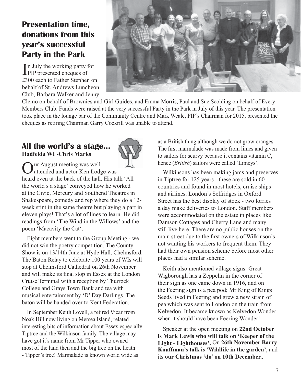# **Presentation time, donations from this year's successful Party in the Park**

In July the working party f<br>PIP presented cheques of n July the working party for £300 each to Father Stephen on behalf of St. Andrews Luncheon Club, Barbara Walker and Jenny



Clemo on behalf of Brownies and Girl Guides, and Emma Morris, Paul and Sue Scolding on behalf of Every Members Club. Funds were raised at the very successful Party in the Park in July of this year. The presentation took place in the lounge bar of the Community Centre and Mark Weale, PIP's Chairman for 2015, presented the cheques as retiring Chairman Garry Cockrill was unable to attend.

#### **All the world's a stage... Hadfelda WI -Chris Marks**



Our August meeting was well attended and actor Ken Lodge was heard even at the back of the hall. His talk 'All the world's a stage' conveyed how he worked at the Civic, Mercury and Southend Theatres in Shakespeare, comedy and rep where they do a 12 week stint in the same theatre but playing a part in eleven plays! That's a lot of lines to learn. He did readings from 'The Wind in the Willows' and the poem 'Macavity the Cat'.

Eight members went to the Group Meeting - we did not win the poetry competition. The County Show is on 13/14th June at Hyde Hall, Chelmsford. The Baton Relay to celebrate 100 years of WIs will stop at Chelmsford Cathedral on 26th November and will make its final stop in Essex at the London Cruise Terminal with a reception by Thurrock College and Grays Town Bank and tea with musical entertainment by 'D' Day Darlings. The baton will be handed over to Kent Federation.

In September Keith Lovell, a retired Vicar from Noak Hill now living on Mersea Island, related interesting bits of information about Essex especially Tiptree and the Wilkinson family. The village may have got it's name from Mr Tipper who owned most of the land then and the big tree on the heath - Tipper's tree! Marmalade is known world wide as

as a British thing although we do not grow oranges. The first marmalade was made from limes and given to sailors for scurvy because it contains vitamin C, hence (*British*) sailors were called 'Limeys'.

Wilkinsons has been making jams and preserves in Tiptree for 125 years - these are sold in 60 countries and found in most hotels, cruise ships and airlines. London's Selfridges in Oxford Street has the best display of stock - two lorries a day make deliveries to London. Staff members were accommodated on the estate in places like Damson Cottages and Cherry Lane and many still live here. There are no public houses on the main street due to the first owners of Wilkinson's not wanting his workers to frequent them. They had their own pension scheme before most other places had a similar scheme.

Keith also mentioned village signs: Great Wigborough has a Zeppelin in the corner of their sign as one came down in 1916, and on the Feering sign is a pea pod; Mr King of Kings Seeds lived in Feering and grew a new strain of pea which was sent to London on the train from Kelvedon. It became known as Kelvedon Wonder when it should have been Feering Wonder!

Speaker at the open meeting on **22nd October is Mark Lewis who will talk on 'Keeper of the Light - Lighthouses'.** On **26th November Barry Kauffman's talk is 'Wildlife in the garden'**, and its **our Christmas 'do' on 10th December.**.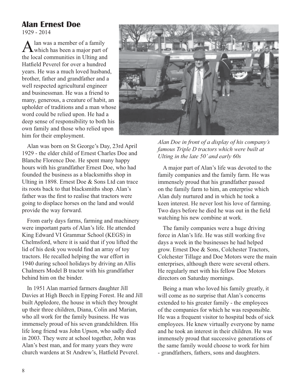# **Alan Ernest Doe**

1929 - 2014

Alan was a member of a family<br>which has been a major part of the local communities in Ulting and Hatfield Peverel for over a hundred years. He was a much loved husband, brother, father and grandfather and a well respected agricultural engineer and businessman. He was a friend to many, generous, a creature of habit, an upholder of traditions and a man whose word could be relied upon. He had a deep sense of responsibility to both his own family and those who relied upon him for their employment.

Alan was born on St George's Day, 23rd April 1929 - the elder child of Ernest Charles Doe and Blanche Florence Doe. He spent many happy hours with his grandfather Ernest Doe, who had founded the business as a blacksmiths shop in Ulting in 1898. Ernest Doe & Sons Ltd can trace its roots back to that blacksmiths shop. Alan's father was the first to realise that tractors were going to displace horses on the land and would provide the way forward.

From early days farms, farming and machinery were important parts of Alan's life. He attended King Edward VI Grammar School (KEGS) in Chelmsford, where it is said that if you lifted the lid of his desk you would find an array of toy tractors. He recalled helping the war effort in 1940 during school holidays by driving an Allis Chalmers Model B tractor with his grandfather behind him on the binder.

In 1951 Alan married farmers daughter Jill Davies at High Beech in Epping Forest. He and Jill built Appledore, the house in which they brought up their three children, Diana, Colin and Marian, who all work for the family business. He was immensely proud of his seven grandchildren. His life long friend was John Upson, who sadly died in 2003. They were at school together, John was Alan's best man, and for many years they were church wardens at St Andrew's, Hatfield Peverel.



*Alan Doe in front of a display of his company's famous Triple D tractors which were built at Ulting in the late 50' and early 60s*

A major part of Alan's life was devoted to the family companies and the family farm. He was immensely proud that his grandfather passed on the family farm to him, an enterprise which Alan duly nurtured and in which he took a keen interest. He never lost his love of farming. Two days before he died he was out in the field watching his new combine at work.

The family companies were a huge driving force in Alan's life. He was still working five days a week in the businesses he had helped grow. Ernest Doe & Sons, Colchester Tractors, Colchester Tillage and Doe Motors were the main enterprises, although there were several others. He regularly met with his fellow Doe Motors directors on Saturday mornings.

Being a man who loved his family greatly, it will come as no surprise that Alan's concerns extended to his greater family - the employees of the companies for which he was responsible. He was a frequent visitor to hospital beds of sick employees. He knew virtually everyone by name and he took an interest in their children. He was immensely proud that successive generations of the same family would choose to work for him - grandfathers, fathers, sons and daughters.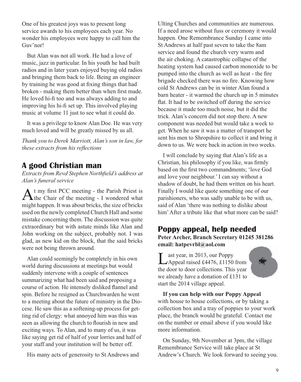One of his greatest joys was to present long service awards to his employees each year. No wonder his employees were happy to call him the Guv'nor!

But Alan was not all work. He had a love of music, jazz in particular. In his youth he had built radios and in later years enjoyed buying old radios and bringing them back to life. Being an engineer by training he was good at fixing things that had broken - making them better than when first made. He loved hi-fi too and was always adding to and improving his hi-fi set up. This involved playing music at volume 11 just to see what it could do.

It was a privilege to know Alan Doe. He was very much loved and will be greatly missed by us all.

*Thank you to Derek Marriott, Alan's son in law, for these extracts from his reflections* 

# **A good Christian man**

*Extracts from Revd Stephen Northfield's address at Alan's funeral service*

At my first PCC meeting - the Parish Priest is The Chair of the meeting - I wondered what might happen. It was about bricks, the size of bricks used on the newly completed Church Hall and some mistake concerning them. The discussion was quite extraordinary but with astute minds like Alan and John working on the subject, probably not. I was glad, as new kid on the block, that the said bricks were not being thrown around.

Alan could seemingly be completely in his own world during discussions at meetings but would suddenly intervene with a couple of sentences summarizing what had been said and proposing a course of action. He intensely disliked flannel and spin. Before he resigned as Churchwarden he went to a meeting about the future of ministry in the Diocese. He saw this as a softening-up process for getting rid of clergy: what annoyed him was this was seen as allowing the church to flourish in new and exciting ways. To Alan, and to many of us, it was like saying get rid of half of your lorries and half of your staff and your institution will be better off.

His many acts of generosity to St Andrews and

Ulting Churches and communities are numerous. If a need arose without fuss or ceremony it would happen. One Remembrance Sunday I came into St Andrews at half past seven to take the 8am service and found the church very warm and the air choking. A catastrophic collapse of the heating system had caused carbon monoxide to be pumped into the church as well as heat - the fire brigade checked there was no fire. Knowing how cold St Andrews can be in winter Alan found a barn heater - it warmed the church up in 5 minutes flat. It had to be switched off during the service because it made too much noise, but it did the trick. Alan's concern did not stop there. A new component was needed but would take a week to get. When he saw it was a matter of transport he sent his men to Shropshire to collect it and bring it down to us. We were back in action in two weeks.

I will conclude by saying that Alan's life as a Christian, his philosophy if you like, was firmly based on the first two commandments; 'love God and love your neighbour.' I can say without a shadow of doubt, he had them written on his heart. Finally I would like quote something one of our parishioners, who was sadly unable to be with us, said of Alan 'there was nothing to dislike about him' After a tribute like that what more can be said?

**Poppy appeal, help needed Peter Archer, Branch Secretary 01245 381286 email: hatpevrbl@aol.com**

Last year, in 2013, our Poppy<br>Appeal raised £4476, £1150 from the door to door collections. This year we already have a donation of £131 to start the 2014 village appeal.



**If you can help with our Poppy Appeal**  with house to house collections, or by taking a collection box and a tray of poppies to your work place, the branch would be grateful. Contact me on the number or email above if you would like more information.

On Sunday, 9th November at 3pm, the village Remembrance Service will take place at St Andrew's Church. We look forward to seeing you.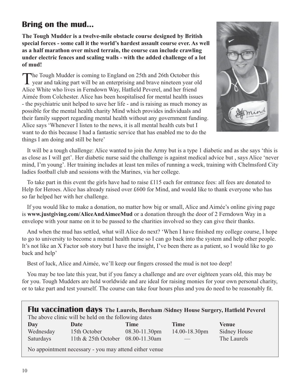# **Bring on the mud...**

**The Tough Mudder is a twelve-mile obstacle course designed by British special forces - some call it the world's hardest assault course ever. As well as a half marathon over mixed terrain, the course can include crawling under electric fences and scaling walls - with the added challenge of a lot of mud!** 

The Tough Mudder is coming to England on 25th and 26th October this year and taking part will be an enterprising and brave nineteen year old Alice White who lives in Ferndown Way, Hatfield Peverel, and her friend Aimée from Colchester. Alice has been hospitalised for mental health issues - the psychiatric unit helped to save her life - and is raising as much money as possible for the mental health charity Mind which provides individuals and their family support regarding mental health without any government funding. Alice says 'Whenever I listen to the news, it is all mental health cuts but I want to do this because I had a fantastic service that has enabled me to do the things I am doing and still be here'



It will be a tough challenge: Alice wanted to join the Army but is a type 1 diabetic and as she says 'this is as close as I will get'. Her diabetic nurse said the challenge is against medical advice but , says Alice 'never mind, I'm young'. Her training includes at least ten miles of running a week, training with Chelmsford City ladies football club and sessions with the Marines, via her college.

To take part in this event the girls have had to raise £115 each for entrance fees: all fees are donated to Help for Heroes. Alice has already raised over £600 for Mind, and would like to thank everyone who has so far helped her with her challenge.

If you would like to make a donation, no matter how big or small, Alice and Aimée's online giving page is **www.justgiving.com/AliceAndAimeeMud** or a donation through the door of 2 Ferndown Way in a envelope with your name on it to be passed to the charities involved so they can give their thanks.

And when the mud has settled, what will Alice do next? 'When I have finished my college course, I hope to go to university to become a mental health nurse so I can go back into the system and help other people. It's not like an X Factor sob story but I have the insight, I've been there as a patient, so I would like to go back and help'

Best of luck, Alice and Aimée, we'll keep our fingers crossed the mud is not too deep!

You may be too late this year, but if you fancy a challenge and are over eighteen years old, this may be for you. Tough Mudders are held worldwide and are ideal for raising monies for your own personal charity, or to take part and test yourself. The course can take four hours plus and you do need to be reasonably fit.

| Flu vaccination days The Laurels, Boreham /Sidney House Surgery, Hatfield Peverel |                                   |               |               |              |  |  |
|-----------------------------------------------------------------------------------|-----------------------------------|---------------|---------------|--------------|--|--|
| The above clinic will be held on the following dates                              |                                   |               |               |              |  |  |
| Day                                                                               | Date                              | <b>Time</b>   | <b>Time</b>   | <b>Venue</b> |  |  |
| Wednesday                                                                         | 15th October                      | 08.30-11.30pm | 14.00-18.30pm | Sidney House |  |  |
| Saturdays                                                                         | 11th & 25th October 08.00-11.30am |               |               | The Laurels  |  |  |
| No appointment necessary - you may attend either venue                            |                                   |               |               |              |  |  |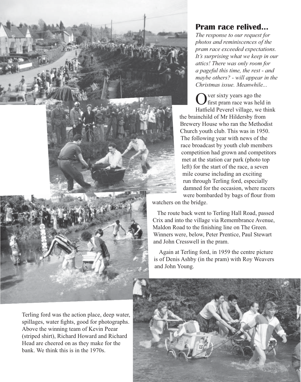

Terling ford was the action place, deep water, spillages, water fights, good for photographs. Above the winning team of Kevin Peear (striped shirt), Richard Howard and Richard Head are cheered on as they make for the bank. We think this is in the 1970s.

# **Pram race relived...**

*The response to our request for photos and reminiscences of the pram race exceeded expectations. It's surprising what we keep in our attics! There was only room for a pageful this time, the rest - and maybe others? - will appear in the Christmas issue. Meanwhile...*

ver sixty years ago the **f**irst pram race was held in Hatfield Peverel village, we think the brainchild of Mr Hildersby from Brewery House who ran the Methodist Church youth club. This was in 1950. The following year with news of the race broadcast by youth club members competition had grown and competitors met at the station car park (photo top left) for the start of the race, a seven mile course including an exciting run through Terling ford, especially damned for the occasion, where racers were bombarded by bags of flour from

watchers on the bridge.

The route back went to Terling Hall Road, passed Crix and into the village via Remembrance Avenue, Maldon Road to the finishing line on The Green. Winners were, below, Peter Prentice, Paul Stewart and John Cresswell in the pram.

Again at Terling ford, in 1959 the centre picture is of Denis Ashby (in the pram) with Roy Weavers and John Young.

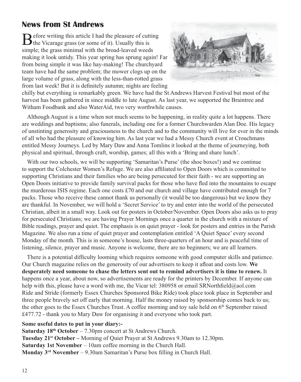# **News from St Andrews**

Before writing this article I had the pleasure of cutting the Vicarage grass (or some of it). Usually this is simple; the grass minimal with the broad-leaved weeds making it look untidy. This year spring has sprung again! Far from being simple it was like hay-making! The churchyard team have had the same problem; the mower clogs up on the large volume of grass, along with the less-than-rotted grass from last week! But it is definitely autumn; nights are feeling



chilly but everything is remarkably green. We have had the St Andrews Harvest Festival but most of the harvest has been gathered in since middle to late August. As last year, we supported the Braintree and Witham Foodbank and also WaterAid, two very worthwhile causes.

Although August is a time when not much seems to be happening, in reality quite a lot happens. There are weddings and baptisms; also funerals, including one for a former Churchwarden Alan Doe. His legacy of unstinting generosity and graciousness to the church and to the community will live for ever in the minds of all who had the pleasure of knowing him. As last year we had a Messy Church event at Crouchmans entitled Messy Journeys. Led by Mary Daw and Anna Tomlins it looked at the theme of journeying, both physical and spiritual, through craft, worship, games; all this with a 'Bring and share lunch'.

With our two schools, we will be supporting 'Samaritan's Purse' (the shoe boxes!) and we continue to support the Colchester Women's Refuge. We are also affiliated to Open Doors which is committed to supporting Christians and their families who are being persecuted for their faith - we are supporting an Open Doors initiative to provide family survival packs for those who have fled into the mountains to escape the murderous ISIS regime. Each one costs  $\pounds 70$  and our church and village have contributed enough for 7 packs. Those who receive these cannot thank us personally (it would be too dangerous) but we know they are thankful. In November, we will hold a 'Secret Service' to try and enter into the world of the persecuted Christian, albeit in a small way. Look out for posters in October/November. Open Doors also asks us to pray for persecuted Christians; we are having Prayer Mornings once a quarter in the church with a mixture of Bible readings, prayer and quiet. The emphasis is on quiet prayer - look for posters and entries in the Parish Magazine. We also run a time of quiet prayer and contemplation entitled 'A Quiet Space' every second Monday of the month. This is in someone's house, lasts three-quarters of an hour and is peaceful time of listening, silence, prayer and music. Anyone is welcome, there are no beginners; we are all learners.

There is a potential difficulty looming which requires someone with good computer skills and patience. Our Church magazine relies on the generosity of our advertisers to keep it afloat and costs low. **We desperately need someone to chase the letters sent out to remind advertisers it is time to renew.** It happens once a year, about now, so advertisements are ready for the printers by December. If anyone can help with this, please have a word with me, the Vicar tel: 380958 or email SRNorthfield@aol.com Ride and Stride (formerly Essex Churches Sponsored Bike Ride) took place took place in September and three people bravely set off early that morning. Half the money raised by sponsorship comes back to us; the other goes to the Essex Churches Trust. A coffee morning and toy sale held on 6<sup>th</sup> September raised £477.72 - thank you to Mary Daw for organising it and everyone who took part.

#### **Some useful dates to put in your diary:-**

**Saturday 18th October** – 7.30pm concert at St Andrews Church. **Tuesday 21st October –** Morning of Quiet Prayer at St Andrews 9.30am to 12.30pm. **Saturday 1st November** – 10am coffee morning in the Church Hall. **Monday 3rd November** – 9.30am Samaritan's Purse box filling in Church Hall.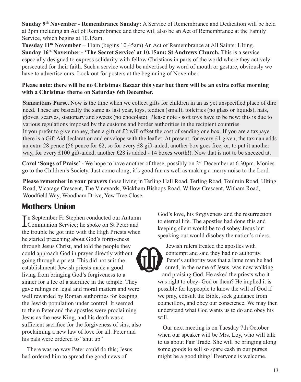**Sunday 9th November** - **Remembrance Sunday:** A Service of Remembrance and Dedication will be held at 3pm including an Act of Remembrance and there will also be an Act of Remembrance at the Family Service, which begins at 10.15am.

**Tuesday 11th November** – 11am (begins 10.45am) An Act of Remembrance at All Saints: Ulting. **Sunday 16th November - 'The Secret Service' at 10.15am: St Andrews Church.** This is a service especially designed to express solidarity with fellow Christians in parts of the world where they actively persecuted for their faith. Such a service would be advertised by word of mouth or gesture, obviously we have to advertise ours. Look out for posters at the beginning of November.

#### **Please note: there will be no Christmas Bazaar this year but there will be an extra coffee morning with a Christmas theme on Saturday 6th December.**

**Samaritans Purse.** Now is the time when we collect gifts for children in an as yet unspecified place of dire need. These are basically the same as last year, toys, teddies (small), toiletries (no glass or liquids), hats, gloves, scarves, stationary and sweets (no chocolate). Please note - soft toys have to be new; this is due to various regulations imposed by the customs and border authorities in the recipient countries. If you prefer to give money, then a gift of  $\pounds 2$  will offset the cost of sending one box. If you are a taxpayer, there is a Gift Aid declaration and envelope with the leaflet. At present, for every £1 given, the taxman adds an extra 28 pence (56 pence for £2, so for every £8 gift-aided, another box goes free, or, to put it another way, for every £100 gift-aided, another £28 is added - 14 boxes worth!). Now that is not to be sneezed at.

**Carol 'Songs of Praise' -** We hope to have another of these, possibly on 2nd December at 6.30pm. Monies go to the Children's Society. Just come along; it's good fun as well as making a merry noise to the Lord.

**Please remember in your prayers** those living in Terling Hall Road, Terling Road, Toulmin Road, Ulting Road, Vicarage Crescent, The Vineyards, Wickham Bishops Road, Willow Crescent, Witham Road, Woodfield Way, Woodham Drive, Yew Tree Close.

# **Mothers Union**

In September Fr Stephen conducted our Autumn<br>Communion Service; he spoke on St Peter and **L** Communion Service; he spoke on St Peter and the trouble he got into with the High Priests when he started preaching about God's forgiveness through Jesus Christ, and told the people they could approach God in prayer directly without going through a priest. This did not suit the establishment: Jewish priests made a good living from bringing God's forgiveness to a sinner for a fee of a sacrifice in the temple. They gave rulings on legal and moral matters and were well rewarded by Roman authorities for keeping the Jewish population under control. It seemed to them Peter and the apostles were proclaiming Jesus as the new King, and his death was a sufficient sacrifice for the forgiveness of sins, also proclaiming a new law of love for all. Peter and his pals were ordered to "shut up"

There was no way Peter could do this; Jesus had ordered him to spread the good news of

God's love, his forgiveness and the resurrection to eternal life. The apostles had done this and keeping silent would be to disobey Jesus but speaking out would disobey the nation's rulers.

Jewish rulers treated the apostles with contempt and said they had no authority. Peter's authority was that a lame man he had cured, in the name of Jesus, was now walking and praising God. He asked the priests who it was right to obey- God or them? He implied it is possible for laypeople to know the will of God if we pray, consult the Bible, seek guidance from councillors, and obey our conscience. We may then understand what God wants us to do and obey his will.

Our next meeting is on Tuesday 7th October when our speaker will be Mrs. Loy, who will talk to us about Fair Trade. She will be bringing along some goods to sell so spare cash in our purses might be a good thing! Everyone is welcome.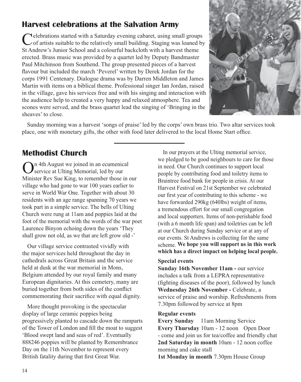# **Harvest celebrations at the Salvation Army**

Celebrations started with a Saturday evening cabaret, using small groups of artists suitable to the relatively small building. Staging was loaned by St Andrew's Junior School and a colourful backcloth with a harvest theme erected. Brass music was provided by a quartet led by Deputy Bandmaster Paul Mitchinson from Southend. The group presented pieces of a harvest flavour but included the march 'Peverel' written by Derek Jordan for the corps 1991 Centenary. Dialogue drama was by Darren Middleton and James Martin with items on a biblical theme. Professional singer Ian Jordan, raised in the village, gave his services free and with his singing and interaction with the audience help to created a very happy and relaxed atmosphere. Tea and scones were served, and the brass quartet lead the singing of 'Bringing in the sheaves' to close.



Sunday morning was a harvest 'songs of praise' led by the corps' own brass trio. Two altar services took place, one with monetary gifts, the other with food later delivered to the local Home Start office.

# **Methodist Church**

On 4th August we joined in an ecumenical service at Ulting Memorial, led by our Minister Rev Sue King, to remember those in our village who had gone to war 100 years earlier to serve in World War One. Together with about 30 residents with an age range spanning 70 years we took part in a simple service. The bells of Ulting Church were rung at 11am and poppies laid at the foot of the memorial with the words of the war poet Laurence Binyon echoing down the years 'They shall grow not old, as we that are left grow old -'

Our village service contrasted vividly with the major services held throughout the day in cathedrals across Great Britain and the service held at dusk at the war memorial in Mons Belgium attended by our royal family and many European dignitaries. At this cemetery, many are buried together from both sides of the conflict commemorating their sacrifice with equal dignity.

More thought provoking is the spectacular display of large ceramic poppies being progressively planted to cascade down the ramparts of the Tower of London and fill the moat to suggest 'Blood swept land and seas of red'. Eventually 888246 poppies will be planted by Remembrance Day on the 11th November to represent every British fatality during that first Great War.

In our prayers at the Ulting memorial service, we pledged to be good neighbours to care for those in need. Our Church continues to support local people by contributing food and toiletry items to Braintree food bank for people in crisis. At our Harvest Festival on 21st September we celebrated our first year of contributing to this scheme - we have forwarded 290kg (640lbs) weight of items, a tremendous effort for our small congregation and local supporters. Items of non-perishable food (with a 6 month life span) and toiletries can be left at our Church during Sunday service or at any of our events. St Andrews is collecting for the same scheme. **We hope you will support us in this work which has a direct impact on helping local people.**

#### **Special events**

**Sunday 16th November 11am - our service** includes a talk from a LEPRA representative (fighting diseases of the poor), followed by lunch **Wednesday 26th November -** Celebrate, a service of praise and worship. Refreshments from 7.30pm followed by service at 8pm

#### **Regular events**

**Every Sunday** 11am Morning Service **Every Thursday** 10am - 12 noon Open Door - come and join us for tea/coffee and friendly chat **2nd Saturday in month** 10am - 12 noon coffee morning and cake stall

**1st Monday in month** 7.30pm House Group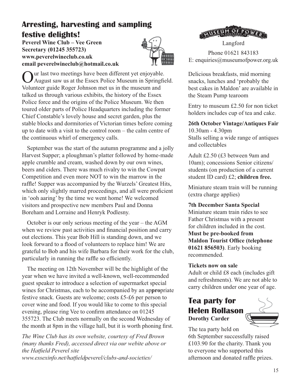# **Arresting, harvesting and sampling festive delights!**

**Peverel Wine Club – Vee Green Secretary (01245 355723) www.peverelwineclub.co.uk email peverelwineclub@hotmail.co.uk**



Our last two meetings have been different yet enjoyable. August saw us at the Essex Police Museum in Springfield. Volunteer guide Roger Johnson met us in the museum and talked us through various exhibits, the history of the Essex Police force and the origins of the Police Museum. We then toured older parts of Police Headquarters including the former Chief Constable's lovely house and secret garden, plus the stable blocks and dormitories of Victorian times before coming up to date with a visit to the control room – the calm centre of the continuous whirl of emergency calls.

September was the start of the autumn programme and a jolly Harvest Supper; a ploughman's platter followed by home-made apple crumble and cream, washed down by our own wines, beers and ciders. There was much rivalry to win the Cowpat Competition and even more NOT to win the marrow in the raffle! Supper was accompanied by the Wurzels' Greatest Hits, which only slightly marred proceedings, and all were proficient in 'ooh aaring' by the time we went home! We welcomed visitors and prospective new members Paul and Donna Boreham and Lorraine and Henryk Podlesny.

October is our only serious meeting of the year – the AGM when we review past activities and financial position and carry out elections. This year Bob Hill is standing down, and we look forward to a flood of volunteers to replace him! We are grateful to Bob and his wife Barbara for their work for the club, particularly in running the raffle so efficiently.

The meeting on 12th November will be the highlight of the year when we have invited a well-known, well-recommended guest speaker to introduce a selection of supermarket special wines for Christmas, each to be accompanied by an ap**pro**priate festive snack. Guests are welcome; costs £5-£6 per person to cover wine and food. If you would like to come to this special evening, please ring Vee to confirm attendance on 01245 355723. The Club meets normally on the second Wednesday of the month at 8pm in the village hall, but it is worth phoning first.

*The Wine Club has its own website, courtesy of Fred Brown (many thanks Fred), accessed direct via our webite above or the Hatfield Peverel site www.essexinfo.net/hatfieldpeverel/clubs-and-societies/*

**MUSEUM OF POW** Langford

Phone 01621 843183 E: enquiries@museumofpower.org.uk

Delicious breakfasts, mid morning snacks, lunches and 'probably the best cakes in Maldon' are available in the Steam Pump tearoom

Entry to museum £2.50 for non ticket holders includes cup of tea and cake.

**26th October Vintage/Antiques Fair**

10.30am - 4.30pm Stalls selling a wide range of antiques and collectables

Adult £2.50 (£3 between 9am and 10am); concessions Senior citizens/ students (on production of a current student ID card) £2; **children free.**

Miniature steam train will be running (extra charge applies)

**7th December Santa Special**

Miniature steam train rides to see Father Christmas with a present for children included in the cost. **Must be pre-booked from Maldon Tourist Office (telephone 01621 856503)**. Early booking recommended.

#### **Tickets now on sale**

Adult or child £8 each (includes gift and refreshments). We are not able to carry children under one year of age.

# **Tea party for Helen Rollason Dorothy Carder**



The tea party held on 6th September successfully raised £103.90 for the charity. Thank you to everyone who supported this afternoon and donated raffle prizes.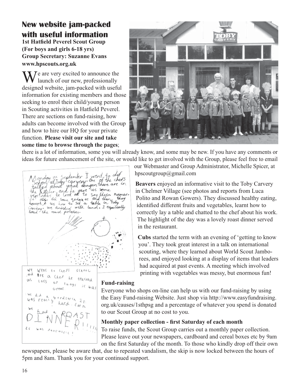# **New website jam-packed with useful information**

**1st Hatfield Peverel Scout Group (For boys and girls 6-18 yrs) Group Secretary: Suzanne Evans www.hpscouts.org.uk**

 $\sum$   $\sum$   $\sum$   $\sum$   $\sum$  e are very excited to announce the launch of our new, professionally designed website, jam-packed with useful information for existing members and those seeking to enrol their child/young person in Scouting activities in Hatfield Peverel. There are sections on fund-raising, how adults can become involved with the Group and how to hire our HQ for your private function. **Please visit our site and take some time to browse through the pages**;



there is a lot of information, some you will already know, and some may be new. If you have any comments or ideas for future enhancement of the site, or would like to get involved with the Group, please feel free to email

Monday ist September I went to def<br>talked about vinat doingers there are in<br>the deviation of the day of the server of the chefs<br>the deviation of the day of the say their names<br>tought us how to set a table in Toby<br>tay died to say their names. WPAC to Cheff WR  $C(KROC)$ Het a chef he teached as d **LKS** 



our Webmaster and Group Administrator, Michelle Spicer, at hpscoutgroup@gmail.com

**Beavers** enjoyed an informative visit to the Toby Carvery in Chelmer Village (see photos and reports from Luca Polito and Rowan Gowers). They discussed healthy eating, identified different fruits and vegetables, learnt how to correctly lay a table and chatted to the chef about his work. The highlight of the day was a lovely roast dinner served in the restaurant.

**Cubs** started the term with an evening of 'getting to know you'. They took great interest in a talk on international scouting, where they learned about World Scout Jamborees, and enjoyed looking at a display of items that leaders had acquired at past events. A meeting which involved printing with vegetables was messy, but enormous fun!

#### **Fund-raising**

Everyone who shops on-line can help us with our fund-raising by using the Easy Fund-raising Website. Just shop via http://www.easyfundraising. org.uk/causes/1sthpsg and a percentage of whatever you spend is donated to our Scout Group at no cost to you.

#### **Monthly paper collection - first Saturday of each month**

To raise funds, the Scout Group carries out a monthly paper collection. Please leave out your newspapers, cardboard and cereal boxes etc by 9am on the first Saturday of the month. To those who kindly drop off their own

newspapers, please be aware that, due to repeated vandalism, the skip is now locked between the hours of 5pm and 8am. Thank you for your continued support.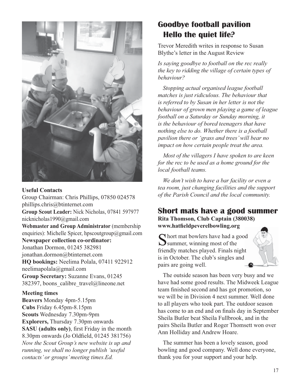

#### **Useful Contacts**

Group Chairman: Chris Phillips, 07850 024578 phillips.chris@btinternet.com **Group Scout Leader:** Nick Nicholas, 07841 597977 nicknicholas1990@gmail.com **Webmaster and Group Administrator** (membership enquiries): Michelle Spicer, hpscoutgroup@gmail.com **Newspaper collection co-ordinator:** Jonathan Dormon, 01245 382981 jonathan.dormon@btinternet.com **HQ bookings:** Neelima Polala, 07411 922912 neelimapolala@gmail.com **Group Secretary:** Suzanne Evans, 01245 382397, boons\_calibre\_travel@lineone.net

#### **Meeting times**

**Beavers** Monday 4pm-5.15pm **Cubs** Friday 6.45pm-8.15pm **Scouts** Wednesday 7.30pm-9pm **Explorers,** Thursday 7.30pm onwards **SASU (adults only)**, first Friday in the month 8.30pm onwards (Jo Oldfield, 01245 381756) *Now the Scout Group's new website is up and running, we shall no longer publish 'useful contacts' or groups' meeting times.Ed.*

# **Goodbye football pavilion Hello the quiet life?**

Trevor Meredith writes in response to Susan Blythe's letter in the August Review

*Is saying goodbye to football on the rec really the key to ridding the village of certain types of behaviour?*

*Stopping actual organised league football matches is just ridiculous. The behaviour that is referred to by Susan in her letter is not the behaviour of grown men playing a game of league football on a Saturday or Sunday morning, it is the behaviour of bored teenagers that have nothing else to do. Whether there is a football pavilion there or 'grass and trees' will bear no impact on how certain people treat the area.*

*Most of the villagers I have spoken to are keen for the rec to be used as a home ground for the local football teams.*

*We don't wish to have a bar facility or even a tea room, just changing facilities and the support of the Parish Council and the local community.*

#### **Short mats have a good summer Rita Thomson, Club Captain (380038) www.hatfieldpeverelbowling.org**

 $\bigcap$  hort mat bowlers have had a good Summer, winning most of the friendly matches played. Finals night is in October. The club's singles and pairs are going well.



The outside season has been very busy and we have had some good results. The Midweek League team finished second and has got promotion, so we will be in Division 4 next summer. Well done to all players who took part. The outdoor season has come to an end and on finals day in September Sheila Butler beat Sheila Fullbrook, and in the pairs Sheila Butler and Roger Thomsett won over Ann Holliday and Andrew Hoare.

The summer has been a lovely season, good bowling and good company. Well done everyone, thank you for your support and your help.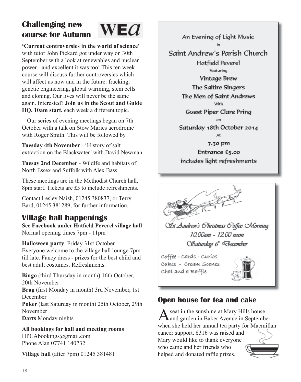# **Challenging new course for Autumn**



**'Current controversies in the world of science'**  with tutor John Pickard got under way on 30th September with a look at renewables and nuclear power - and excellent it was too! This ten week course will discuss further controversies which will affect us now and in the future: fracking, genetic engineering, global warming, stem cells and cloning. Our lives will never be the same again. Interested? **Join us in the Scout and Guide HQ, 10am start,** each week a different topic.

Our series of evening meetings began on 7th October with a talk on Stow Maries aerodrome with Roger Smith. This will be followed by

**Tuesday 4th November** - 'History of salt extraction on the Blackwater' with David Newman

**Tuesay 2nd December** - Wildlfe and habitats of North Essex and Suffolk with Alex Bass.

These meetings are in the Methodist Church hall, 8pm start. Tickets are £5 to include refreshments.

Contact Lesley Naish, 01245 380837, or Terry Bard, 01245 381289, for further information.

# **Village hall happenings**

**See Facebook under Hatfield Peverel village hall** Normal opening times 7pm - 11pm

**Halloween party**, Friday 31st October

Everyone welcome to the village hall lounge 7pm till late. Fancy dress - prizes for the best child and best adult costumes. Refreshments.

**Bingo** (third Thursday in month) 16th October, 20th November **Brag** (first Monday in month) 3rd November, 1st December **Poker** (last Saturday in month) 25th October, 29th November **Darts** Monday nights

**All bookings for hall and meeting rooms** HPCAbookings@gmail.com Phone Alan 07741 140732

**Village hall** (after 7pm) 01245 381481

An Evening of Light Music Saint Andrew's Parish Church Hatfield Peverel Featurina **Vintage Brew** The Saltire Singers The Men of Saint Andrews **MGHz Guest Piper Clare Pring** Saturday 18th October 2014 7.30 pm Entrance £5.00 includes light refreshments

OSt Andrew's Christmas Coffee Morning 10.00 ат - 12.00 пооп Obaturday 6<sup>\*</sup> December

Coffee - Cards - Curíos Cakes - Cream Scones Chat and a Raffle



# **Open house for tea and cake**

A seat in the sunshine at Mary Hills house<br>
and garden in Baker Avenue in September when she held her annual tea party for Macmillan cancer support. £316 was raised and Mary would like to thank everyone who came and her friends who

helped and donated raffle prizes.

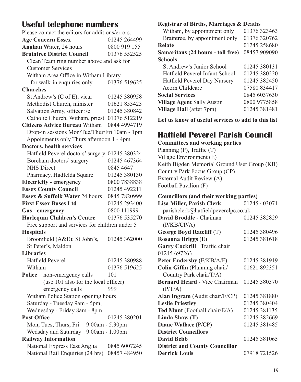# **Useful telephone numbers**

| Please contact the editors for additions/errors.                 |                              |  |  |  |
|------------------------------------------------------------------|------------------------------|--|--|--|
| <b>Age Concern Essex</b>                                         | 01245 264499                 |  |  |  |
| <b>Anglian Water, 24 hours</b>                                   | 0800 919 155                 |  |  |  |
| <b>Braintree District Council</b>                                | 01376 552525                 |  |  |  |
| Clean Team ring number above and ask for                         |                              |  |  |  |
| <b>Customer Services</b>                                         |                              |  |  |  |
| Witham Area Office in Witham Library                             |                              |  |  |  |
| - for walk-in enquiries only                                     | 01376 519625                 |  |  |  |
| <b>Churches</b>                                                  |                              |  |  |  |
| St Andrew's (C of E), vicar                                      | 01245 380958                 |  |  |  |
| Methodist Church, minister                                       | 01621 853423                 |  |  |  |
| Salvation Army, officer i/c                                      | 01245 380842                 |  |  |  |
| Catholic Church, Witham, priest 01376 512219                     |                              |  |  |  |
| <b>Citizens Advice Bureau Witham</b>                             | 0844 4994719                 |  |  |  |
| Drop-in sessions Mon/Tue/Thur/Fri 10am - 1pm                     |                              |  |  |  |
| Appoinments only Thurs afternoon 1 - 4pm                         |                              |  |  |  |
| Doctors, health services                                         |                              |  |  |  |
| Hatfield Peverel doctors' surgery 01245 380324                   |                              |  |  |  |
| Boreham doctors' surgery                                         | 01245 467364                 |  |  |  |
| <b>NHS</b> Direct                                                | 0845 4647                    |  |  |  |
| Pharmacy, Hadfelda Square                                        | 01245 380130                 |  |  |  |
| <b>Electricity - emergency</b>                                   | 0800 7838838                 |  |  |  |
| <b>Essex County Council</b>                                      | 01245 492211                 |  |  |  |
| Essex & Suffolk Water 24 hours                                   | 0845 7820999                 |  |  |  |
|                                                                  | 01245 293400                 |  |  |  |
| <b>First Essex Buses Ltd</b>                                     |                              |  |  |  |
| Gas - emergency                                                  | 0800 111999                  |  |  |  |
| <b>Harlequin Children's Centre</b>                               | 01376 535270                 |  |  |  |
| Free support and services for children under 5                   |                              |  |  |  |
| <b>Hospitals</b>                                                 |                              |  |  |  |
| Broomfield (A&E); St John's,                                     | 01245 362000                 |  |  |  |
| St Peter's, Maldon                                               |                              |  |  |  |
| <b>Libraries</b>                                                 |                              |  |  |  |
| <b>Hatfield Peverel</b>                                          | 01245 380988                 |  |  |  |
| Witham                                                           | 01376 519625                 |  |  |  |
| Police<br>non-emergency calls                                    | 101                          |  |  |  |
| (use 101 also for the local officer)                             |                              |  |  |  |
| emergency calls                                                  | 999                          |  |  |  |
| Witham Police Station opening hours                              |                              |  |  |  |
| Saturday - Tuesday 9am - 5pm,                                    |                              |  |  |  |
| Wednesday - Friday 8am - 8pm                                     |                              |  |  |  |
| <b>Post Office</b>                                               | 01245 380201                 |  |  |  |
| Mon, Tues, Thurs, Fri                                            | 9.00am - 5.30pm              |  |  |  |
| Wedsday and Saturday                                             | 9.00am - 1.00pm              |  |  |  |
| <b>Railway Information</b>                                       |                              |  |  |  |
| National Express East Anglia<br>National Rail Enquiries (24 hrs) | 0845 6007245<br>08457 484950 |  |  |  |

#### **Registrar of Births, Marriages & Deaths**

| Witham, by appointment only       | 01376 323463 |
|-----------------------------------|--------------|
| Braintree, by appointment only    | 01376320762  |
| Relate                            | 01245 258680 |
| Samaritans (24 hours - toll free) | 08457 909090 |
| <b>Schools</b>                    |              |
| St Andrew's Junior School         | 01245 380131 |
| Hatfield Peverel Infant School    | 01245 380220 |
| Hatfield Peverel Day Nursery      | 01245 382450 |
| Acorn Childcare                   | 07580834417  |
| <b>Social Services</b>            | 0845 6037630 |
| <b>Village Agent Sally Austin</b> | 0800 9775858 |
| Village Hall (after 7pm)          | 01245 381481 |
|                                   |              |

**Let us know of useful services to add to this list**

# **Hatfield Peverel Parish Council**

**Committees and working parties**

Planning (P), Traffic (T) Village Environment (E) Keith Bigden Memorial Ground User Group (KB) Country Park Focus Group (CP) External Audit Review (A) Football Pavilion (F)

| <b>Councillors (and their working parties)</b> |              |  |  |  |
|------------------------------------------------|--------------|--|--|--|
| <b>Lisa Miller, Parish Clerk</b>               | 01245 403071 |  |  |  |
| parishclerk@hatfieldpeverelpc.co.uk            |              |  |  |  |
| David Broddle - Chaiman                        | 01245 382829 |  |  |  |
| (P/KB/CP/A)                                    |              |  |  |  |
| George Boyd Ratcliff (T)                       | 01245 380496 |  |  |  |
| <b>Rosanna Briggs (E)</b>                      | 01245 381618 |  |  |  |
| Garry Cockrill Traffic chair                   |              |  |  |  |
| 01245 697263                                   |              |  |  |  |
| Peter Endersby (E/KB/A/F)                      | 01245 381919 |  |  |  |
| Colin Giffin (Planning chair/                  | 01621 892351 |  |  |  |
| Country Park chair/T/A)                        |              |  |  |  |
| Bernard Heard - Vice Chairman                  | 01245 380370 |  |  |  |
| (P/T/A)                                        |              |  |  |  |
| Alan Ingram (Audit chair/E/CP)                 | 01245 381880 |  |  |  |
| <b>Leslie Priestley</b>                        | 01245 380404 |  |  |  |
| Ted Munt (Football chair/E/A)                  | 01245 381135 |  |  |  |
| Linda Shaw $(T)$                               | 01245 382669 |  |  |  |
| Diane Wallace (P/CP)                           | 01245 381485 |  |  |  |
| <b>District Councillors</b>                    |              |  |  |  |
| <b>David Bebb</b>                              | 01245 381065 |  |  |  |
| <b>District and County Councillor</b>          |              |  |  |  |
| <b>Derrick Louis</b>                           | 07918 721526 |  |  |  |